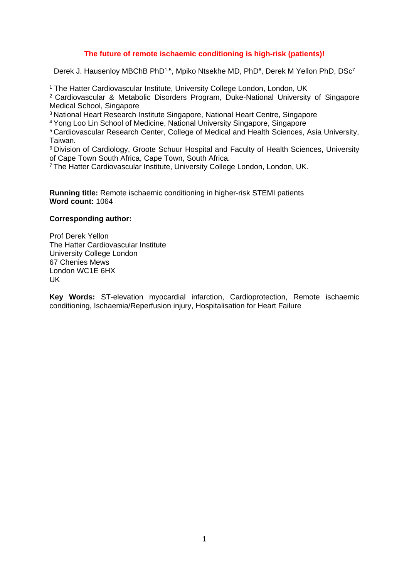## **The future of remote ischaemic conditioning is high-risk (patients)!**

Derek J. Hausenloy MBChB PhD<sup>1-5</sup>, Mpiko Ntsekhe MD, PhD<sup>6</sup>, Derek M Yellon PhD, DSc<sup>7</sup>

<sup>1</sup> The Hatter Cardiovascular Institute, University College London, London, UK

<sup>2</sup>Cardiovascular & Metabolic Disorders Program, Duke-National University of Singapore Medical School, Singapore

<sup>3</sup>National Heart Research Institute Singapore, National Heart Centre, Singapore

<sup>4</sup>Yong Loo Lin School of Medicine, National University Singapore, Singapore

<sup>5</sup>Cardiovascular Research Center, College of Medical and Health Sciences, Asia University, Taiwan.

<sup>6</sup> Division of Cardiology, Groote Schuur Hospital and Faculty of Health Sciences, University of Cape Town South Africa, Cape Town, South Africa.

<sup>7</sup> The Hatter Cardiovascular Institute, University College London, London, UK.

**Running title:** Remote ischaemic conditioning in higher-risk STEMI patients **Word count:** 1064

## **Corresponding author:**

Prof Derek Yellon The Hatter Cardiovascular Institute University College London 67 Chenies Mews London WC1E 6HX UK

**Key Words:** ST-elevation myocardial infarction, Cardioprotection, Remote ischaemic conditioning, Ischaemia/Reperfusion injury, Hospitalisation for Heart Failure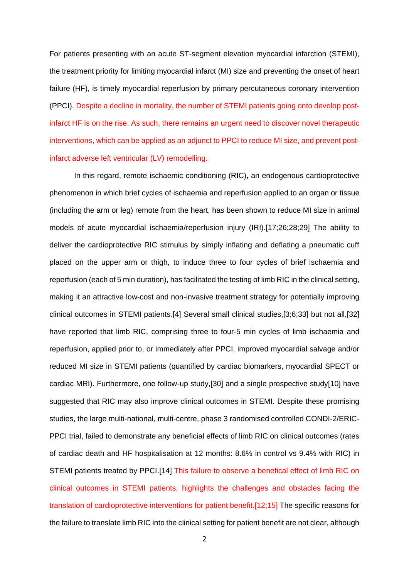For patients presenting with an acute ST-segment elevation myocardial infarction (STEMI), the treatment priority for limiting myocardial infarct (MI) size and preventing the onset of heart failure (HF), is timely myocardial reperfusion by primary percutaneous coronary intervention (PPCI). Despite a decline in mortality, the number of STEMI patients going onto develop postinfarct HF is on the rise. As such, there remains an urgent need to discover novel therapeutic interventions, which can be applied as an adjunct to PPCI to reduce MI size, and prevent postinfarct adverse left ventricular (LV) remodelling.

In this regard, remote ischaemic conditioning (RIC), an endogenous cardioprotective phenomenon in which brief cycles of ischaemia and reperfusion applied to an organ or tissue (including the arm or leg) remote from the heart, has been shown to reduce MI size in animal models of acute myocardial ischaemia/reperfusion injury (IRI).[17;26;28;29] The ability to deliver the cardioprotective RIC stimulus by simply inflating and deflating a pneumatic cuff placed on the upper arm or thigh, to induce three to four cycles of brief ischaemia and reperfusion (each of 5 min duration), has facilitated the testing of limb RIC in the clinical setting, making it an attractive low-cost and non-invasive treatment strategy for potentially improving clinical outcomes in STEMI patients.[4] Several small clinical studies,[3;6;33] but not all,[32] have reported that limb RIC, comprising three to four-5 min cycles of limb ischaemia and reperfusion, applied prior to, or immediately after PPCI, improved myocardial salvage and/or reduced MI size in STEMI patients (quantified by cardiac biomarkers, myocardial SPECT or cardiac MRI). Furthermore, one follow-up study,[30] and a single prospective study[10] have suggested that RIC may also improve clinical outcomes in STEMI. Despite these promising studies, the large multi-national, multi-centre, phase 3 randomised controlled CONDI-2/ERIC-PPCI trial, failed to demonstrate any beneficial effects of limb RIC on clinical outcomes (rates of cardiac death and HF hospitalisation at 12 months: 8.6% in control vs 9.4% with RIC) in STEMI patients treated by PPCI.[14] This failure to observe a benefical effect of limb RIC on clinical outcomes in STEMI patients, highlights the challenges and obstacles facing the translation of cardioprotective interventions for patient benefit.[12;15] The specific reasons for the failure to translate limb RIC into the clinical setting for patient benefit are not clear, although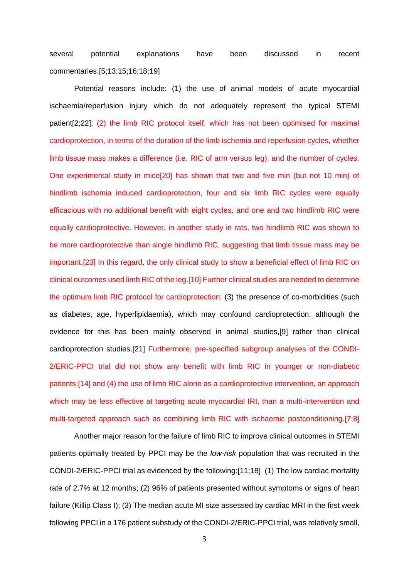several potential explanations have been discussed in recent commentaries.[5;13;15;16;18;19]

Potential reasons include: (1) the use of animal models of acute myocardial ischaemia/reperfusion injury which do not adequately represent the typical STEMI patient[2;22]; (2) the limb RIC protocol itself, which has not been optimised for maximal cardioprotection, in terms of the duration of the limb ischemia and reperfusion cycles, whether limb tissue mass makes a difference (i.e. RIC of arm versus leg), and the number of cycles. One experimental study in mice[20] has shown that two and five min (but not 10 min) of hindlimb ischemia induced cardioprotection, four and six limb RIC cycles were equally efficacious with no additional benefit with eight cycles, and one and two hindlimb RIC were equally cardioprotective. However, in another study in rats, two hindlimb RIC was shown to be more cardioprotective than single hindlimb RIC, suggesting that limb tissue mass may be important.[23] In this regard, the only clinical study to show a beneficial effect of limb RIC on clinical outcomes used limb RIC of the leg.[10] Further clinical studies are needed to determine the optimum limb RIC protocol for cardioprotection; (3) the presence of co-morbidities (such as diabetes, age, hyperlipidaemia), which may confound cardioprotection, although the evidence for this has been mainly observed in animal studies,[9] rather than clinical cardioprotection studies.[21] Furthermore, pre-specified subgroup analyses of the CONDI-2/ERIC-PPCI trial did not show any benefit with limb RIC in younger or non-diabetic patients;[14] and (4) the use of limb RIC alone as a cardioprotective intervention, an approach which may be less effective at targeting acute myocardial IRI, than a multi-intervention and multi-targeted approach such as combining limb RIC with ischaemic postconditioning.[7;8]

Another major reason for the failure of limb RIC to improve clinical outcomes in STEMI patients optimally treated by PPCI may be the *low-risk* population that was recruited in the CONDI-2/ERIC-PPCI trial as evidenced by the following:[11;18] (1) The low cardiac mortality rate of 2.7% at 12 months; (2) 96% of patients presented without symptoms or signs of heart failure (Killip Class I); (3) The median acute MI size assessed by cardiac MRI in the first week following PPCI in a 176 patient substudy of the CONDI-2/ERIC-PPCI trial, was relatively small,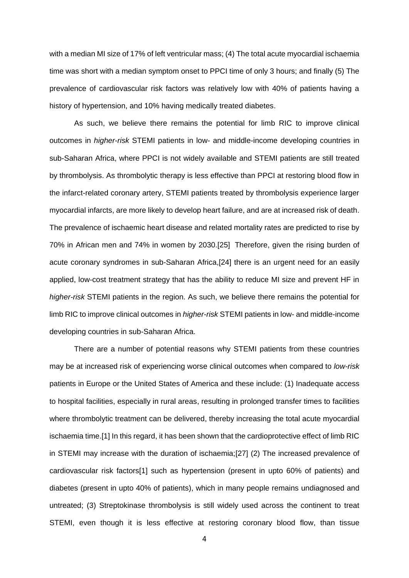with a median MI size of 17% of left ventricular mass; (4) The total acute myocardial ischaemia time was short with a median symptom onset to PPCI time of only 3 hours; and finally (5) The prevalence of cardiovascular risk factors was relatively low with 40% of patients having a history of hypertension, and 10% having medically treated diabetes.

As such, we believe there remains the potential for limb RIC to improve clinical outcomes in *higher*-*risk* STEMI patients in low- and middle-income developing countries in sub-Saharan Africa, where PPCI is not widely available and STEMI patients are still treated by thrombolysis. As thrombolytic therapy is less effective than PPCI at restoring blood flow in the infarct-related coronary artery, STEMI patients treated by thrombolysis experience larger myocardial infarcts, are more likely to develop heart failure, and are at increased risk of death. The prevalence of ischaemic heart disease and related mortality rates are predicted to rise by 70% in African men and 74% in women by 2030.[25] Therefore, given the rising burden of acute coronary syndromes in sub-Saharan Africa,[24] there is an urgent need for an easily applied, low-cost treatment strategy that has the ability to reduce MI size and prevent HF in *higher-risk* STEMI patients in the region. As such, we believe there remains the potential for limb RIC to improve clinical outcomes in *higher*-*risk* STEMI patients in low- and middle-income developing countries in sub-Saharan Africa.

There are a number of potential reasons why STEMI patients from these countries may be at increased risk of experiencing worse clinical outcomes when compared to *low-risk* patients in Europe or the United States of America and these include: (1) Inadequate access to hospital facilities, especially in rural areas, resulting in prolonged transfer times to facilities where thrombolytic treatment can be delivered, thereby increasing the total acute myocardial ischaemia time.[1] In this regard, it has been shown that the cardioprotective effect of limb RIC in STEMI may increase with the duration of ischaemia;[27] (2) The increased prevalence of cardiovascular risk factors[1] such as hypertension (present in upto 60% of patients) and diabetes (present in upto 40% of patients), which in many people remains undiagnosed and untreated; (3) Streptokinase thrombolysis is still widely used across the continent to treat STEMI, even though it is less effective at restoring coronary blood flow, than tissue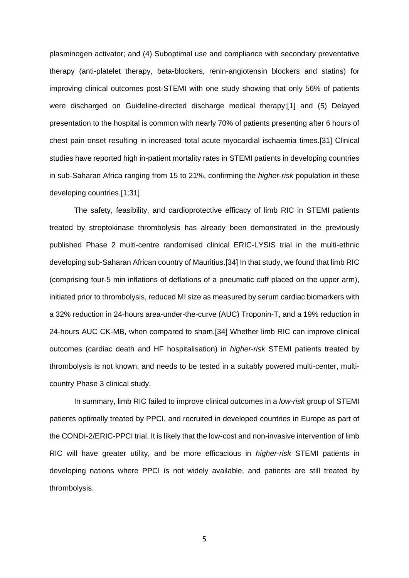plasminogen activator; and (4) Suboptimal use and compliance with secondary preventative therapy (anti-platelet therapy, beta-blockers, renin-angiotensin blockers and statins) for improving clinical outcomes post-STEMI with one study showing that only 56% of patients were discharged on Guideline-directed discharge medical therapy;[1] and (5) Delayed presentation to the hospital is common with nearly 70% of patients presenting after 6 hours of chest pain onset resulting in increased total acute myocardial ischaemia times.[31] Clinical studies have reported high in-patient mortality rates in STEMI patients in developing countries in sub-Saharan Africa ranging from 15 to 21%, confirming the *higher-risk* population in these developing countries.[1;31]

The safety, feasibility, and cardioprotective efficacy of limb RIC in STEMI patients treated by streptokinase thrombolysis has already been demonstrated in the previously published Phase 2 multi-centre randomised clinical ERIC-LYSIS trial in the multi-ethnic developing sub-Saharan African country of Mauritius.[34] In that study, we found that limb RIC (comprising four-5 min inflations of deflations of a pneumatic cuff placed on the upper arm), initiated prior to thrombolysis, reduced MI size as measured by serum cardiac biomarkers with a 32% reduction in 24-hours area-under-the-curve (AUC) Troponin-T, and a 19% reduction in 24-hours AUC CK-MB, when compared to sham.[34] Whether limb RIC can improve clinical outcomes (cardiac death and HF hospitalisation) in *higher-risk* STEMI patients treated by thrombolysis is not known, and needs to be tested in a suitably powered multi-center, multicountry Phase 3 clinical study.

In summary, limb RIC failed to improve clinical outcomes in a *low-risk* group of STEMI patients optimally treated by PPCI, and recruited in developed countries in Europe as part of the CONDI-2/ERIC-PPCI trial. It is likely that the low-cost and non-invasive intervention of limb RIC will have greater utility, and be more efficacious in *higher-risk* STEMI patients in developing nations where PPCI is not widely available, and patients are still treated by thrombolysis.

5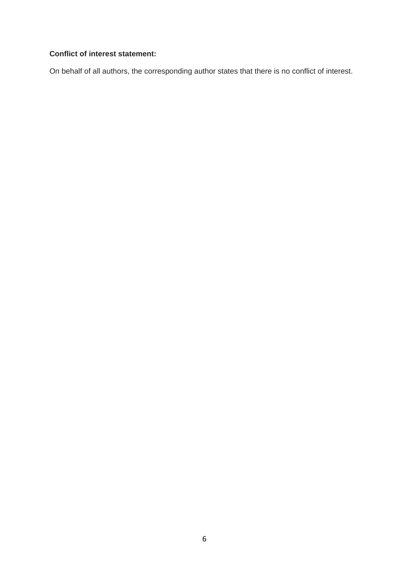## **Conflict of interest statement:**

On behalf of all authors, the corresponding author states that there is no conflict of interest.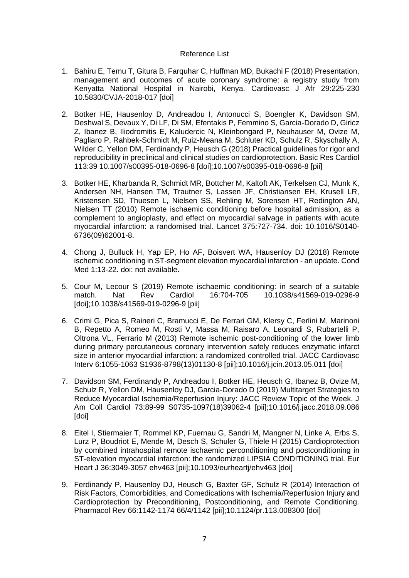## Reference List

- 1. Bahiru E, Temu T, Gitura B, Farquhar C, Huffman MD, Bukachi F (2018) Presentation, management and outcomes of acute coronary syndrome: a registry study from Kenyatta National Hospital in Nairobi, Kenya. Cardiovasc J Afr 29:225-230 10.5830/CVJA-2018-017 [doi]
- 2. Botker HE, Hausenloy D, Andreadou I, Antonucci S, Boengler K, Davidson SM, Deshwal S, Devaux Y, Di LF, Di SM, Efentakis P, Femmino S, Garcia-Dorado D, Giricz Z, Ibanez B, Iliodromitis E, Kaludercic N, Kleinbongard P, Neuhauser M, Ovize M, Pagliaro P, Rahbek-Schmidt M, Ruiz-Meana M, Schluter KD, Schulz R, Skyschally A, Wilder C, Yellon DM, Ferdinandy P, Heusch G (2018) Practical guidelines for rigor and reproducibility in preclinical and clinical studies on cardioprotection. Basic Res Cardiol 113:39 10.1007/s00395-018-0696-8 [doi];10.1007/s00395-018-0696-8 [pii]
- 3. Botker HE, Kharbanda R, Schmidt MR, Bottcher M, Kaltoft AK, Terkelsen CJ, Munk K, Andersen NH, Hansen TM, Trautner S, Lassen JF, Christiansen EH, Krusell LR, Kristensen SD, Thuesen L, Nielsen SS, Rehling M, Sorensen HT, Redington AN, Nielsen TT (2010) Remote ischaemic conditioning before hospital admission, as a complement to angioplasty, and effect on myocardial salvage in patients with acute myocardial infarction: a randomised trial. Lancet 375:727-734. doi: 10.1016/S0140- 6736(09)62001-8.
- 4. Chong J, Bulluck H, Yap EP, Ho AF, Boisvert WA, Hausenloy DJ (2018) Remote ischemic conditioning in ST-segment elevation myocardial infarction - an update. Cond Med 1:13-22. doi: not available.
- 5. Cour M, Lecour S (2019) Remote ischaemic conditioning: in search of a suitable match. Nat Rev Cardiol 16:704-705 10.1038/s41569-019-0296-9 [doi];10.1038/s41569-019-0296-9 [pii]
- 6. Crimi G, Pica S, Raineri C, Bramucci E, De Ferrari GM, Klersy C, Ferlini M, Marinoni B, Repetto A, Romeo M, Rosti V, Massa M, Raisaro A, Leonardi S, Rubartelli P, Oltrona VL, Ferrario M (2013) Remote ischemic post-conditioning of the lower limb during primary percutaneous coronary intervention safely reduces enzymatic infarct size in anterior myocardial infarction: a randomized controlled trial. JACC Cardiovasc Interv 6:1055-1063 S1936-8798(13)01130-8 [pii];10.1016/j.jcin.2013.05.011 [doi]
- 7. Davidson SM, Ferdinandy P, Andreadou I, Botker HE, Heusch G, Ibanez B, Ovize M, Schulz R, Yellon DM, Hausenloy DJ, Garcia-Dorado D (2019) Multitarget Strategies to Reduce Myocardial Ischemia/Reperfusion Injury: JACC Review Topic of the Week. J Am Coll Cardiol 73:89-99 S0735-1097(18)39062-4 [pii];10.1016/j.jacc.2018.09.086 [doi]
- 8. Eitel I, Stiermaier T, Rommel KP, Fuernau G, Sandri M, Mangner N, Linke A, Erbs S, Lurz P, Boudriot E, Mende M, Desch S, Schuler G, Thiele H (2015) Cardioprotection by combined intrahospital remote ischaemic perconditioning and postconditioning in ST-elevation myocardial infarction: the randomized LIPSIA CONDITIONING trial. Eur Heart J 36:3049-3057 ehv463 [pii];10.1093/eurheartj/ehv463 [doi]
- 9. Ferdinandy P, Hausenloy DJ, Heusch G, Baxter GF, Schulz R (2014) Interaction of Risk Factors, Comorbidities, and Comedications with Ischemia/Reperfusion Injury and Cardioprotection by Preconditioning, Postconditioning, and Remote Conditioning. Pharmacol Rev 66:1142-1174 66/4/1142 [pii];10.1124/pr.113.008300 [doi]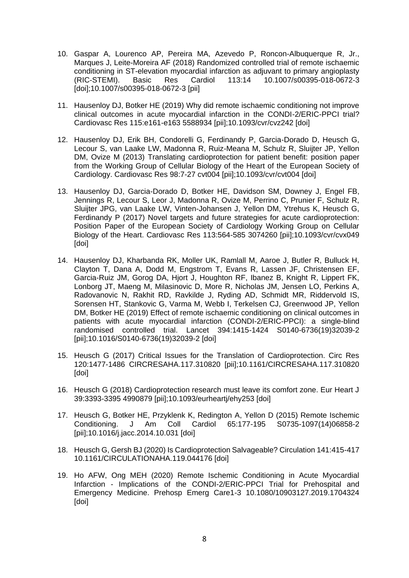- 10. Gaspar A, Lourenco AP, Pereira MA, Azevedo P, Roncon-Albuquerque R, Jr., Marques J, Leite-Moreira AF (2018) Randomized controlled trial of remote ischaemic conditioning in ST-elevation myocardial infarction as adjuvant to primary angioplasty (RIC-STEMI). Basic Res Cardiol 113:14 10.1007/s00395-018-0672-3 [doi];10.1007/s00395-018-0672-3 [pii]
- 11. Hausenloy DJ, Botker HE (2019) Why did remote ischaemic conditioning not improve clinical outcomes in acute myocardial infarction in the CONDI-2/ERIC-PPCI trial? Cardiovasc Res 115:e161-e163 5588934 [pii];10.1093/cvr/cvz242 [doi]
- 12. Hausenloy DJ, Erik BH, Condorelli G, Ferdinandy P, Garcia-Dorado D, Heusch G, Lecour S, van Laake LW, Madonna R, Ruiz-Meana M, Schulz R, Sluijter JP, Yellon DM, Ovize M (2013) Translating cardioprotection for patient benefit: position paper from the Working Group of Cellular Biology of the Heart of the European Society of Cardiology. Cardiovasc Res 98:7-27 cvt004 [pii];10.1093/cvr/cvt004 [doi]
- 13. Hausenloy DJ, Garcia-Dorado D, Botker HE, Davidson SM, Downey J, Engel FB, Jennings R, Lecour S, Leor J, Madonna R, Ovize M, Perrino C, Prunier F, Schulz R, Sluijter JPG, van Laake LW, Vinten-Johansen J, Yellon DM, Ytrehus K, Heusch G, Ferdinandy P (2017) Novel targets and future strategies for acute cardioprotection: Position Paper of the European Society of Cardiology Working Group on Cellular Biology of the Heart. Cardiovasc Res 113:564-585 3074260 [pii];10.1093/cvr/cvx049 [doi]
- 14. Hausenloy DJ, Kharbanda RK, Moller UK, Ramlall M, Aaroe J, Butler R, Bulluck H, Clayton T, Dana A, Dodd M, Engstrom T, Evans R, Lassen JF, Christensen EF, Garcia-Ruiz JM, Gorog DA, Hjort J, Houghton RF, Ibanez B, Knight R, Lippert FK, Lonborg JT, Maeng M, Milasinovic D, More R, Nicholas JM, Jensen LO, Perkins A, Radovanovic N, Rakhit RD, Ravkilde J, Ryding AD, Schmidt MR, Riddervold IS, Sorensen HT, Stankovic G, Varma M, Webb I, Terkelsen CJ, Greenwood JP, Yellon DM, Botker HE (2019) Effect of remote ischaemic conditioning on clinical outcomes in patients with acute myocardial infarction (CONDI-2/ERIC-PPCI): a single-blind randomised controlled trial. Lancet 394:1415-1424 S0140-6736(19)32039-2 [pii];10.1016/S0140-6736(19)32039-2 [doi]
- 15. Heusch G (2017) Critical Issues for the Translation of Cardioprotection. Circ Res 120:1477-1486 CIRCRESAHA.117.310820 [pii];10.1161/CIRCRESAHA.117.310820 [doi]
- 16. Heusch G (2018) Cardioprotection research must leave its comfort zone. Eur Heart J 39:3393-3395 4990879 [pii];10.1093/eurheartj/ehy253 [doi]
- 17. Heusch G, Botker HE, Przyklenk K, Redington A, Yellon D (2015) Remote Ischemic Conditioning. J Am Coll Cardiol 65:177-195 S0735-1097(14)06858-2 [pii];10.1016/j.jacc.2014.10.031 [doi]
- 18. Heusch G, Gersh BJ (2020) Is Cardioprotection Salvageable? Circulation 141:415-417 10.1161/CIRCULATIONAHA.119.044176 [doi]
- 19. Ho AFW, Ong MEH (2020) Remote Ischemic Conditioning in Acute Myocardial Infarction - Implications of the CONDI-2/ERIC-PPCI Trial for Prehospital and Emergency Medicine. Prehosp Emerg Care1-3 10.1080/10903127.2019.1704324 [doi]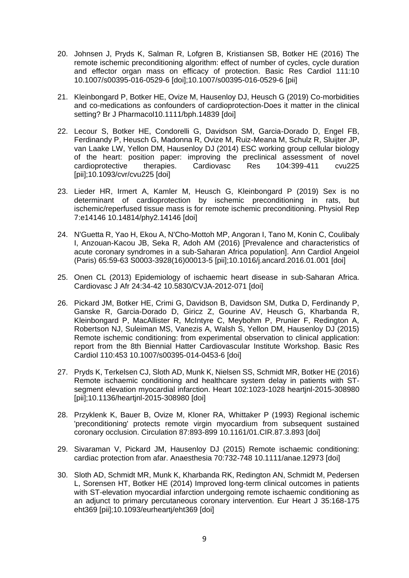- 20. Johnsen J, Pryds K, Salman R, Lofgren B, Kristiansen SB, Botker HE (2016) The remote ischemic preconditioning algorithm: effect of number of cycles, cycle duration and effector organ mass on efficacy of protection. Basic Res Cardiol 111:10 10.1007/s00395-016-0529-6 [doi];10.1007/s00395-016-0529-6 [pii]
- 21. Kleinbongard P, Botker HE, Ovize M, Hausenloy DJ, Heusch G (2019) Co-morbidities and co-medications as confounders of cardioprotection-Does it matter in the clinical setting? Br J Pharmacol10.1111/bph.14839 [doi]
- 22. Lecour S, Botker HE, Condorelli G, Davidson SM, Garcia-Dorado D, Engel FB, Ferdinandy P, Heusch G, Madonna R, Ovize M, Ruiz-Meana M, Schulz R, Sluijter JP, van Laake LW, Yellon DM, Hausenloy DJ (2014) ESC working group cellular biology of the heart: position paper: improving the preclinical assessment of novel cardioprotective therapies. Cardiovasc Res 104:399-411 cvu225 [pii];10.1093/cvr/cvu225 [doi]
- 23. Lieder HR, Irmert A, Kamler M, Heusch G, Kleinbongard P (2019) Sex is no determinant of cardioprotection by ischemic preconditioning in rats, but ischemic/reperfused tissue mass is for remote ischemic preconditioning. Physiol Rep 7:e14146 10.14814/phy2.14146 [doi]
- 24. N'Guetta R, Yao H, Ekou A, N'Cho-Mottoh MP, Angoran I, Tano M, Konin C, Coulibaly I, Anzouan-Kacou JB, Seka R, Adoh AM (2016) [Prevalence and characteristics of acute coronary syndromes in a sub-Saharan Africa population]. Ann Cardiol Angeiol (Paris) 65:59-63 S0003-3928(16)00013-5 [pii];10.1016/j.ancard.2016.01.001 [doi]
- 25. Onen CL (2013) Epidemiology of ischaemic heart disease in sub-Saharan Africa. Cardiovasc J Afr 24:34-42 10.5830/CVJA-2012-071 [doi]
- 26. Pickard JM, Botker HE, Crimi G, Davidson B, Davidson SM, Dutka D, Ferdinandy P, Ganske R, Garcia-Dorado D, Giricz Z, Gourine AV, Heusch G, Kharbanda R, Kleinbongard P, MacAllister R, McIntyre C, Meybohm P, Prunier F, Redington A, Robertson NJ, Suleiman MS, Vanezis A, Walsh S, Yellon DM, Hausenloy DJ (2015) Remote ischemic conditioning: from experimental observation to clinical application: report from the 8th Biennial Hatter Cardiovascular Institute Workshop. Basic Res Cardiol 110:453 10.1007/s00395-014-0453-6 [doi]
- 27. Pryds K, Terkelsen CJ, Sloth AD, Munk K, Nielsen SS, Schmidt MR, Botker HE (2016) Remote ischaemic conditioning and healthcare system delay in patients with STsegment elevation myocardial infarction. Heart 102:1023-1028 heartjnl-2015-308980 [pii];10.1136/heartjnl-2015-308980 [doi]
- 28. Przyklenk K, Bauer B, Ovize M, Kloner RA, Whittaker P (1993) Regional ischemic 'preconditioning' protects remote virgin myocardium from subsequent sustained coronary occlusion. Circulation 87:893-899 10.1161/01.CIR.87.3.893 [doi]
- 29. Sivaraman V, Pickard JM, Hausenloy DJ (2015) Remote ischaemic conditioning: cardiac protection from afar. Anaesthesia 70:732-748 10.1111/anae.12973 [doi]
- 30. Sloth AD, Schmidt MR, Munk K, Kharbanda RK, Redington AN, Schmidt M, Pedersen L, Sorensen HT, Botker HE (2014) Improved long-term clinical outcomes in patients with ST-elevation myocardial infarction undergoing remote ischaemic conditioning as an adjunct to primary percutaneous coronary intervention. Eur Heart J 35:168-175 eht369 [pii]:10.1093/eurhearti/eht369 [doi]